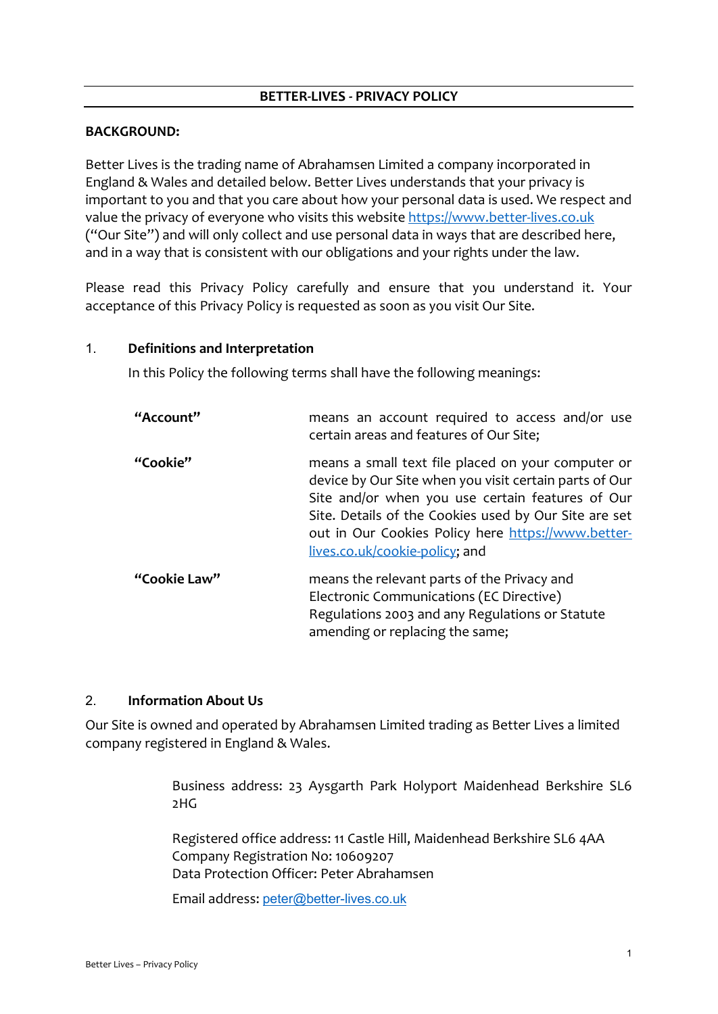### **BETTER-LIVES - PRIVACY POLICY**

### **BACKGROUND:**

Better Lives is the trading name of Abrahamsen Limited a company incorporated in England & Wales and detailed below. Better Lives understands that your privacy is important to you and that you care about how your personal data is used. We respect and value the privacy of everyone who visits this website [https://www.better-lives.co.uk](https://www.better-lives.co.uk/) ("Our Site") and will only collect and use personal data in ways that are described here, and in a way that is consistent with our obligations and your rights under the law.

Please read this Privacy Policy carefully and ensure that you understand it. Your acceptance of this Privacy Policy is requested as soon as you visit Our Site.

#### 1. **Definitions and Interpretation**

In this Policy the following terms shall have the following meanings:

| "Account"    | means an account required to access and/or use<br>certain areas and features of Our Site;                                                                                                                                                                                                                         |
|--------------|-------------------------------------------------------------------------------------------------------------------------------------------------------------------------------------------------------------------------------------------------------------------------------------------------------------------|
| "Cookie"     | means a small text file placed on your computer or<br>device by Our Site when you visit certain parts of Our<br>Site and/or when you use certain features of Our<br>Site. Details of the Cookies used by Our Site are set<br>out in Our Cookies Policy here https://www.better-<br>lives.co.uk/cookie-policy; and |
| "Cookie Law" | means the relevant parts of the Privacy and<br>Electronic Communications (EC Directive)<br>Regulations 2003 and any Regulations or Statute<br>amending or replacing the same;                                                                                                                                     |

### 2. **Information About Us**

Our Site is owned and operated by Abrahamsen Limited trading as Better Lives a limited company registered in England & Wales.

> Business address: 23 Aysgarth Park Holyport Maidenhead Berkshire SL6 2HG

Registered office address: 11 Castle Hill, Maidenhead Berkshire SL6 4AA Company Registration No: 10609207 Data Protection Officer: Peter Abrahamsen

Email address: [peter@better-lives.co.uk](mailto:peter@better-lives.co.uk)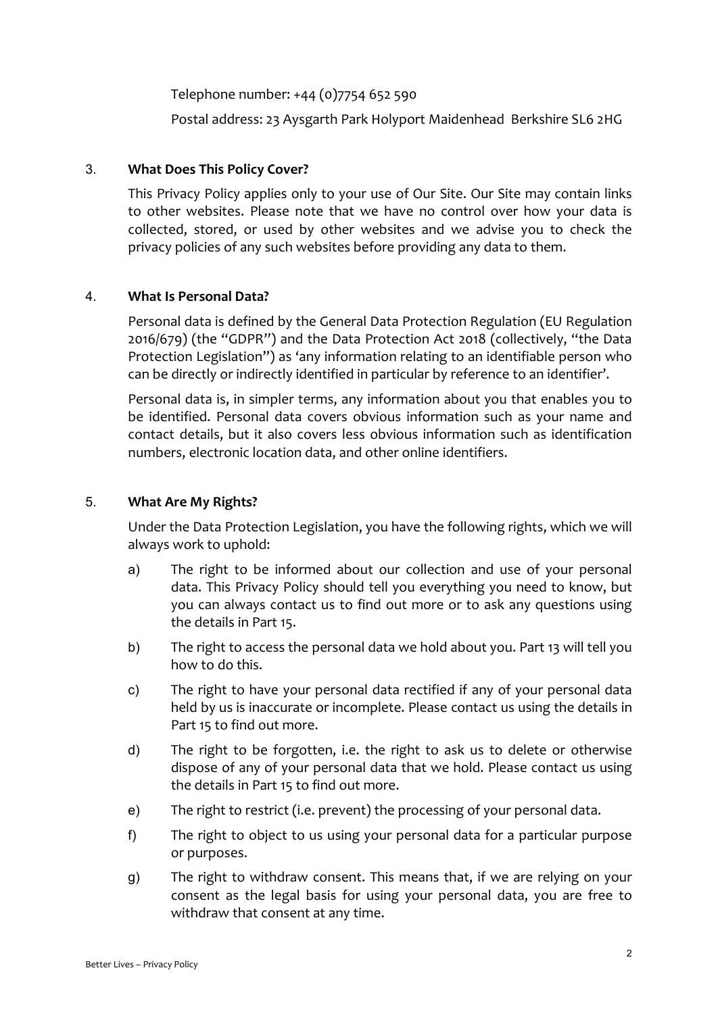Telephone number: +44 (0)7754 652 590

Postal address: 23 Aysgarth Park Holyport Maidenhead Berkshire SL6 2HG

# 3. **What Does This Policy Cover?**

This Privacy Policy applies only to your use of Our Site. Our Site may contain links to other websites. Please note that we have no control over how your data is collected, stored, or used by other websites and we advise you to check the privacy policies of any such websites before providing any data to them.

## 4. **What Is Personal Data?**

Personal data is defined by the General Data Protection Regulation (EU Regulation 2016/679) (the "GDPR") and the Data Protection Act 2018 (collectively, "the Data Protection Legislation") as 'any information relating to an identifiable person who can be directly or indirectly identified in particular by reference to an identifier'.

Personal data is, in simpler terms, any information about you that enables you to be identified. Personal data covers obvious information such as your name and contact details, but it also covers less obvious information such as identification numbers, electronic location data, and other online identifiers.

## 5. **What Are My Rights?**

Under the Data Protection Legislation, you have the following rights, which we will always work to uphold:

- a) The right to be informed about our collection and use of your personal data. This Privacy Policy should tell you everything you need to know, but you can always contact us to find out more or to ask any questions using the details in Part 15.
- b) The right to access the personal data we hold about you. Part 13 will tell you how to do this.
- c) The right to have your personal data rectified if any of your personal data held by us is inaccurate or incomplete. Please contact us using the details in Part 15 to find out more.
- d) The right to be forgotten, i.e. the right to ask us to delete or otherwise dispose of any of your personal data that we hold. Please contact us using the details in Part 15 to find out more.
- e) The right to restrict (i.e. prevent) the processing of your personal data.
- f) The right to object to us using your personal data for a particular purpose or purposes.
- g) The right to withdraw consent. This means that, if we are relying on your consent as the legal basis for using your personal data, you are free to withdraw that consent at any time.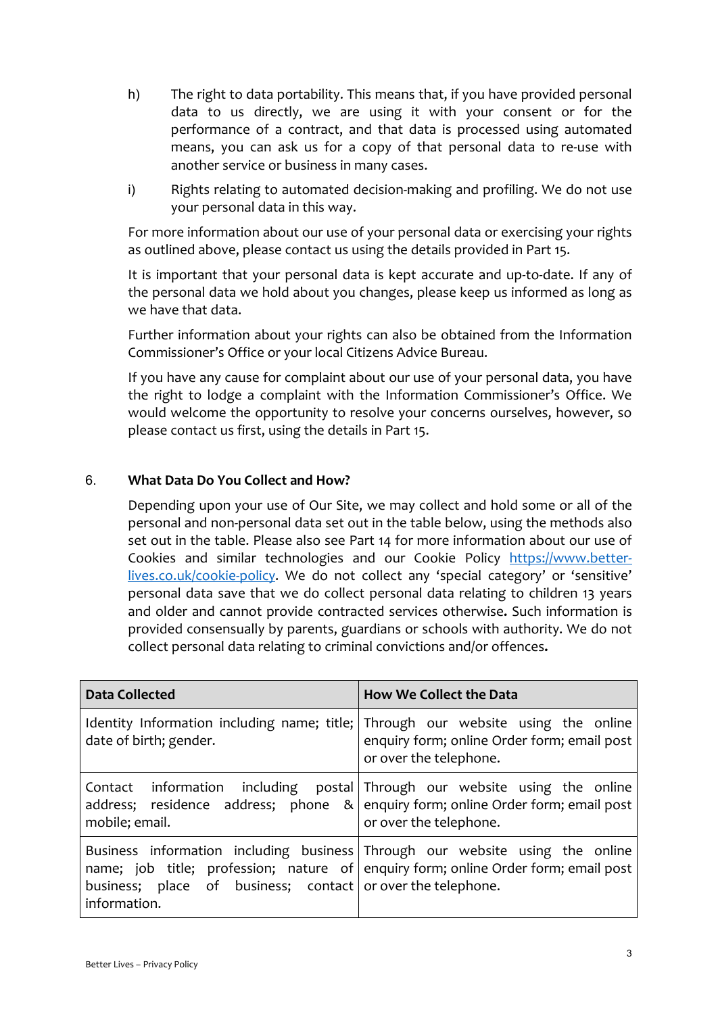- h) The right to data portability. This means that, if you have provided personal data to us directly, we are using it with your consent or for the performance of a contract, and that data is processed using automated means, you can ask us for a copy of that personal data to re-use with another service or business in many cases.
- i) Rights relating to automated decision-making and profiling. We do not use your personal data in this way.

For more information about our use of your personal data or exercising your rights as outlined above, please contact us using the details provided in Part 15.

It is important that your personal data is kept accurate and up-to-date. If any of the personal data we hold about you changes, please keep us informed as long as we have that data.

Further information about your rights can also be obtained from the Information Commissioner's Office or your local Citizens Advice Bureau.

If you have any cause for complaint about our use of your personal data, you have the right to lodge a complaint with the Information Commissioner's Office. We would welcome the opportunity to resolve your concerns ourselves, however, so please contact us first, using the details in Part 15.

# 6. **What Data Do You Collect and How?**

Depending upon your use of Our Site, we may collect and hold some or all of the personal and non-personal data set out in the table below, using the methods also set out in the table. Please also see Part 14 for more information about our use of Cookies and similar technologies and our Cookie Policy [https://www.better](https://www.better-lives.co.uk/cookie-policy)[lives.co.uk/cookie-policy.](https://www.better-lives.co.uk/cookie-policy) We do not collect any 'special category' or 'sensitive' personal data save that we do collect personal data relating to children 13 years and older and cannot provide contracted services otherwise**.** Such information is provided consensually by parents, guardians or schools with authority. We do not collect personal data relating to criminal convictions and/or offences**.**

| <b>Data Collected</b>                                                       | <b>How We Collect the Data</b>                                                                                                                                                            |  |
|-----------------------------------------------------------------------------|-------------------------------------------------------------------------------------------------------------------------------------------------------------------------------------------|--|
| date of birth; gender.                                                      | Identity Information including name; title; Through our website using the online<br>enquiry form; online Order form; email post<br>or over the telephone.                                 |  |
| mobile; email.                                                              | Contact information including postal Through our website using the online<br>address; residence address; phone $\&$ enquiry form; online Order form; email post<br>or over the telephone. |  |
| business; place of business; contact or over the telephone.<br>information. | Business information including business Through our website using the online<br>name; job title; profession; nature of enquiry form; online Order form; email post                        |  |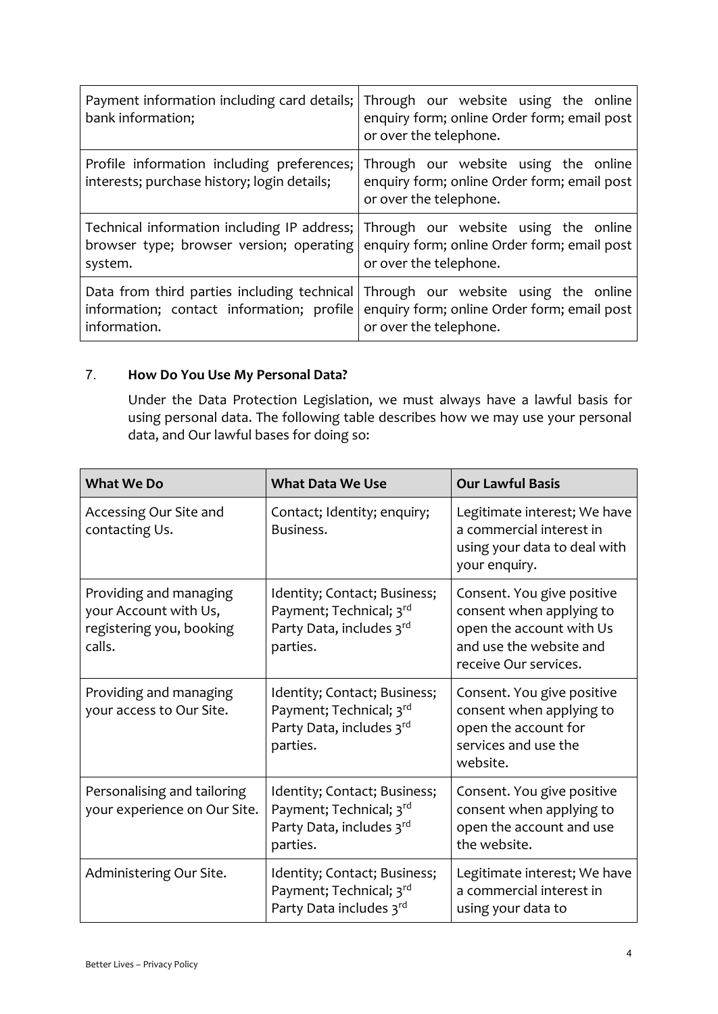| Payment information including card details;<br>bank information;                          | Through our website using the online<br>enquiry form; online Order form; email post<br>or over the telephone. |
|-------------------------------------------------------------------------------------------|---------------------------------------------------------------------------------------------------------------|
| Profile information including preferences;<br>interests; purchase history; login details; | Through our website using the online<br>enquiry form; online Order form; email post<br>or over the telephone. |
| Technical information including IP address;                                               | Through our website using the online                                                                          |
| browser type; browser version; operating                                                  | enquiry form; online Order form; email post                                                                   |
| system.                                                                                   | or over the telephone.                                                                                        |
| Data from third parties including technical                                               | Through our website using the online                                                                          |
| information; contact information; profile                                                 | enquiry form; online Order form; email post                                                                   |
| information.                                                                              | or over the telephone.                                                                                        |

# 7. **How Do You Use My Personal Data?**

Under the Data Protection Legislation, we must always have a lawful basis for using personal data. The following table describes how we may use your personal data, and Our lawful bases for doing so:

| <b>What We Do</b>                                                                     | <b>What Data We Use</b>                                                                         | <b>Our Lawful Basis</b>                                                                                                                |
|---------------------------------------------------------------------------------------|-------------------------------------------------------------------------------------------------|----------------------------------------------------------------------------------------------------------------------------------------|
| Accessing Our Site and<br>contacting Us.                                              | Contact; Identity; enquiry;<br>Business.                                                        | Legitimate interest; We have<br>a commercial interest in<br>using your data to deal with<br>your enquiry.                              |
| Providing and managing<br>your Account with Us,<br>registering you, booking<br>calls. | Identity; Contact; Business;<br>Payment; Technical; 3rd<br>Party Data, includes 3rd<br>parties. | Consent. You give positive<br>consent when applying to<br>open the account with Us<br>and use the website and<br>receive Our services. |
| Providing and managing<br>your access to Our Site.                                    | Identity; Contact; Business;<br>Payment; Technical; 3rd<br>Party Data, includes 3rd<br>parties. | Consent. You give positive<br>consent when applying to<br>open the account for<br>services and use the<br>website.                     |
| Personalising and tailoring<br>your experience on Our Site.                           | Identity; Contact; Business;<br>Payment; Technical; 3rd<br>Party Data, includes 3rd<br>parties. | Consent. You give positive<br>consent when applying to<br>open the account and use<br>the website.                                     |
| Administering Our Site.                                                               | Identity; Contact; Business;<br>Payment; Technical; 3rd<br>Party Data includes 3rd              | Legitimate interest; We have<br>a commercial interest in<br>using your data to                                                         |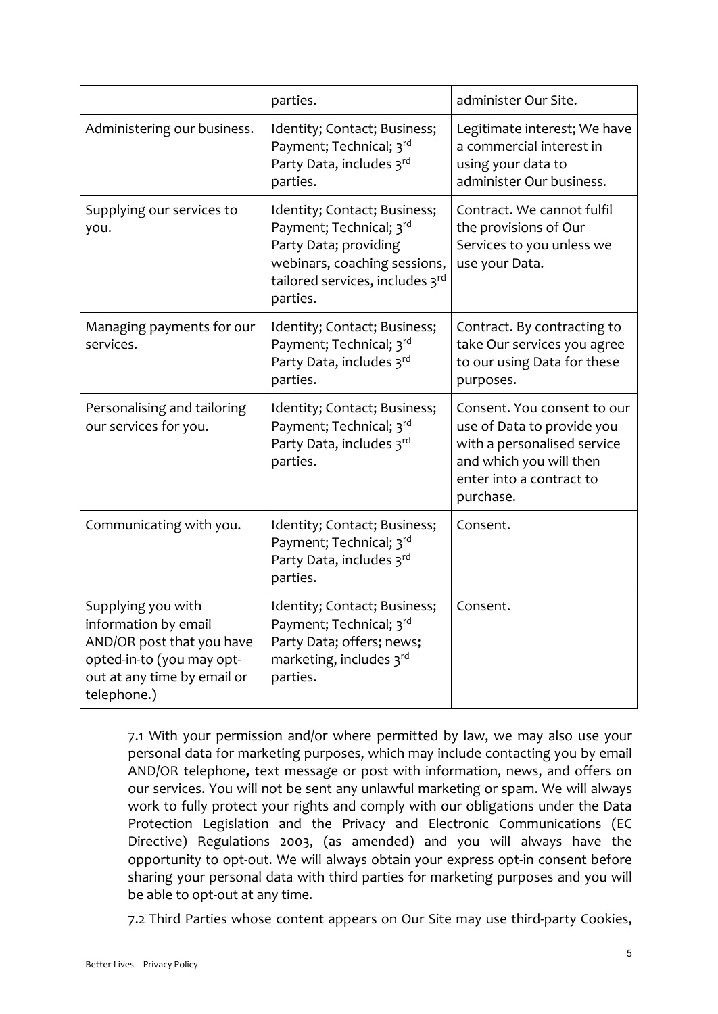|                                                                                                                                                    | parties.                                                                                                                                                        | administer Our Site.                                                                                                                                         |
|----------------------------------------------------------------------------------------------------------------------------------------------------|-----------------------------------------------------------------------------------------------------------------------------------------------------------------|--------------------------------------------------------------------------------------------------------------------------------------------------------------|
| Administering our business.                                                                                                                        | Identity; Contact; Business;<br>Payment; Technical; 3rd<br>Party Data, includes 3rd<br>parties.                                                                 | Legitimate interest; We have<br>a commercial interest in<br>using your data to<br>administer Our business.                                                   |
| Supplying our services to<br>you.                                                                                                                  | Identity; Contact; Business;<br>Payment; Technical; 3rd<br>Party Data; providing<br>webinars, coaching sessions,<br>tailored services, includes 3rd<br>parties. | Contract. We cannot fulfil<br>the provisions of Our<br>Services to you unless we<br>use your Data.                                                           |
| Managing payments for our<br>services.                                                                                                             | Identity; Contact; Business;<br>Payment; Technical; 3rd<br>Party Data, includes 3rd<br>parties.                                                                 | Contract. By contracting to<br>take Our services you agree<br>to our using Data for these<br>purposes.                                                       |
| Personalising and tailoring<br>our services for you.                                                                                               | Identity; Contact; Business;<br>Payment; Technical; 3rd<br>Party Data, includes 3rd<br>parties.                                                                 | Consent. You consent to our<br>use of Data to provide you<br>with a personalised service<br>and which you will then<br>enter into a contract to<br>purchase. |
| Communicating with you.                                                                                                                            | Identity; Contact; Business;<br>Payment; Technical; 3rd<br>Party Data, includes 3rd<br>parties.                                                                 | Consent.                                                                                                                                                     |
| Supplying you with<br>information by email<br>AND/OR post that you have<br>opted-in-to (you may opt-<br>out at any time by email or<br>telephone.) | Identity; Contact; Business;<br>Payment; Technical; 3rd<br>Party Data; offers; news;<br>marketing, includes 3rd<br>parties.                                     | Consent.                                                                                                                                                     |

7.1 With your permission and/or where permitted by law, we may also use your personal data for marketing purposes, which may include contacting you by email AND/OR telephone**,** text message or post with information, news, and offers on our services. You will not be sent any unlawful marketing or spam. We will always work to fully protect your rights and comply with our obligations under the Data Protection Legislation and the Privacy and Electronic Communications (EC Directive) Regulations 2003, (as amended) and you will always have the opportunity to opt-out. We will always obtain your express opt-in consent before sharing your personal data with third parties for marketing purposes and you will be able to opt-out at any time.

7.2 Third Parties whose content appears on Our Site may use third-party Cookies,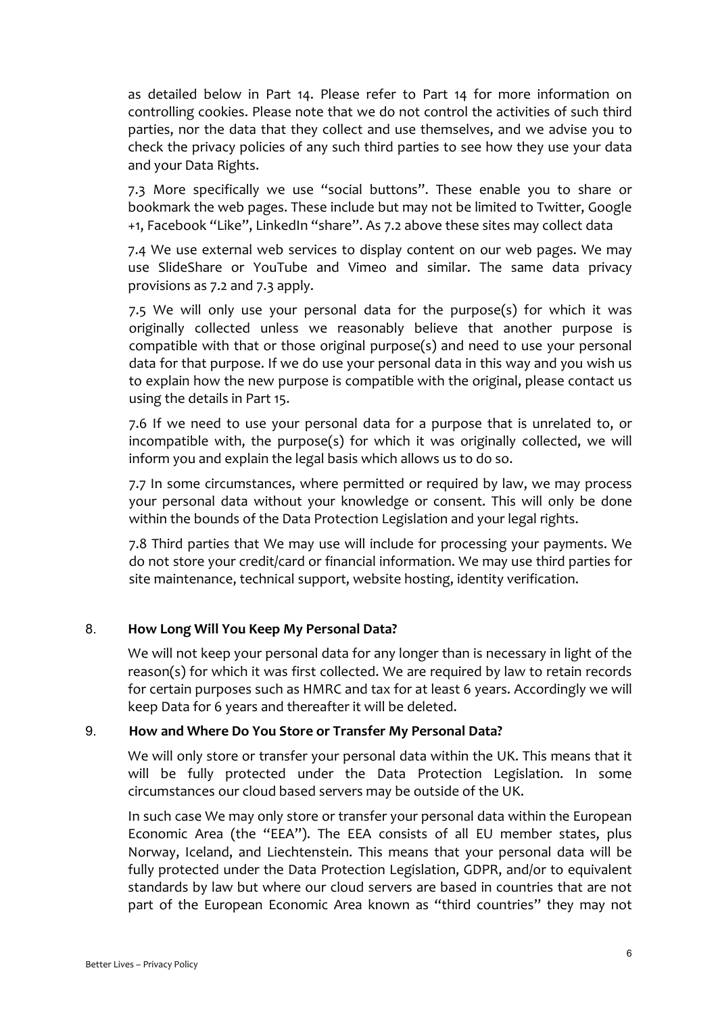as detailed below in Part 14. Please refer to Part 14 for more information on controlling cookies. Please note that we do not control the activities of such third parties, nor the data that they collect and use themselves, and we advise you to check the privacy policies of any such third parties to see how they use your data and your Data Rights.

7.3 More specifically we use "social buttons". These enable you to share or bookmark the web pages. These include but may not be limited to Twitter, Google +1, Facebook "Like", LinkedIn "share". As 7.2 above these sites may collect data

7.4 We use external web services to display content on our web pages. We may use SlideShare or YouTube and Vimeo and similar. The same data privacy provisions as 7.2 and 7.3 apply.

7.5 We will only use your personal data for the purpose(s) for which it was originally collected unless we reasonably believe that another purpose is compatible with that or those original purpose(s) and need to use your personal data for that purpose. If we do use your personal data in this way and you wish us to explain how the new purpose is compatible with the original, please contact us using the details in Part 15.

7.6 If we need to use your personal data for a purpose that is unrelated to, or incompatible with, the purpose(s) for which it was originally collected, we will inform you and explain the legal basis which allows us to do so.

7.7 In some circumstances, where permitted or required by law, we may process your personal data without your knowledge or consent. This will only be done within the bounds of the Data Protection Legislation and your legal rights.

7.8 Third parties that We may use will include for processing your payments. We do not store your credit/card or financial information. We may use third parties for site maintenance, technical support, website hosting, identity verification.

# 8. **How Long Will You Keep My Personal Data?**

We will not keep your personal data for any longer than is necessary in light of the reason(s) for which it was first collected. We are required by law to retain records for certain purposes such as HMRC and tax for at least 6 years. Accordingly we will keep Data for 6 years and thereafter it will be deleted.

# 9. **How and Where Do You Store or Transfer My Personal Data?**

We will only store or transfer your personal data within the UK. This means that it will be fully protected under the Data Protection Legislation. In some circumstances our cloud based servers may be outside of the UK.

In such case We may only store or transfer your personal data within the European Economic Area (the "EEA"). The EEA consists of all EU member states, plus Norway, Iceland, and Liechtenstein. This means that your personal data will be fully protected under the Data Protection Legislation, GDPR, and/or to equivalent standards by law but where our cloud servers are based in countries that are not part of the European Economic Area known as "third countries" they may not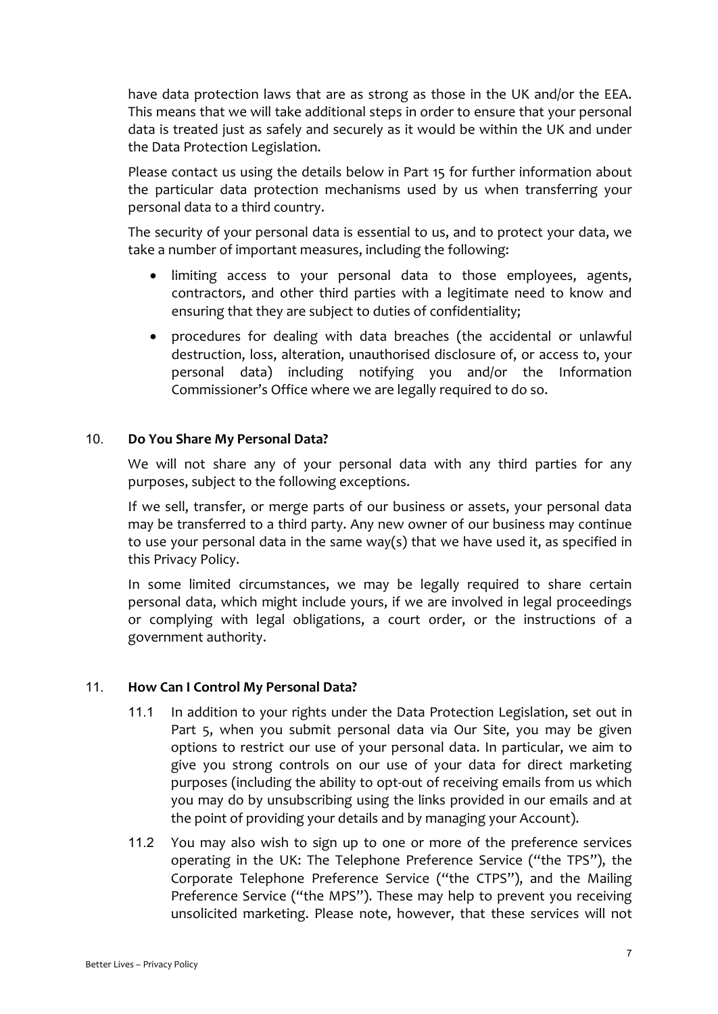have data protection laws that are as strong as those in the UK and/or the EEA. This means that we will take additional steps in order to ensure that your personal data is treated just as safely and securely as it would be within the UK and under the Data Protection Legislation.

Please contact us using the details below in Part 15 for further information about the particular data protection mechanisms used by us when transferring your personal data to a third country.

The security of your personal data is essential to us, and to protect your data, we take a number of important measures, including the following:

- limiting access to your personal data to those employees, agents, contractors, and other third parties with a legitimate need to know and ensuring that they are subject to duties of confidentiality;
- procedures for dealing with data breaches (the accidental or unlawful destruction, loss, alteration, unauthorised disclosure of, or access to, your personal data) including notifying you and/or the Information Commissioner's Office where we are legally required to do so.

## 10. **Do You Share My Personal Data?**

We will not share any of your personal data with any third parties for any purposes, subject to the following exceptions.

If we sell, transfer, or merge parts of our business or assets, your personal data may be transferred to a third party. Any new owner of our business may continue to use your personal data in the same way(s) that we have used it, as specified in this Privacy Policy.

In some limited circumstances, we may be legally required to share certain personal data, which might include yours, if we are involved in legal proceedings or complying with legal obligations, a court order, or the instructions of a government authority.

### 11. **How Can I Control My Personal Data?**

- 11.1 In addition to your rights under the Data Protection Legislation, set out in Part 5, when you submit personal data via Our Site, you may be given options to restrict our use of your personal data. In particular, we aim to give you strong controls on our use of your data for direct marketing purposes (including the ability to opt-out of receiving emails from us which you may do by unsubscribing using the links provided in our emails and at the point of providing your details and by managing your Account).
- 11.2 You may also wish to sign up to one or more of the preference services operating in the UK: The Telephone Preference Service ("the TPS"), the Corporate Telephone Preference Service ("the CTPS"), and the Mailing Preference Service ("the MPS"). These may help to prevent you receiving unsolicited marketing. Please note, however, that these services will not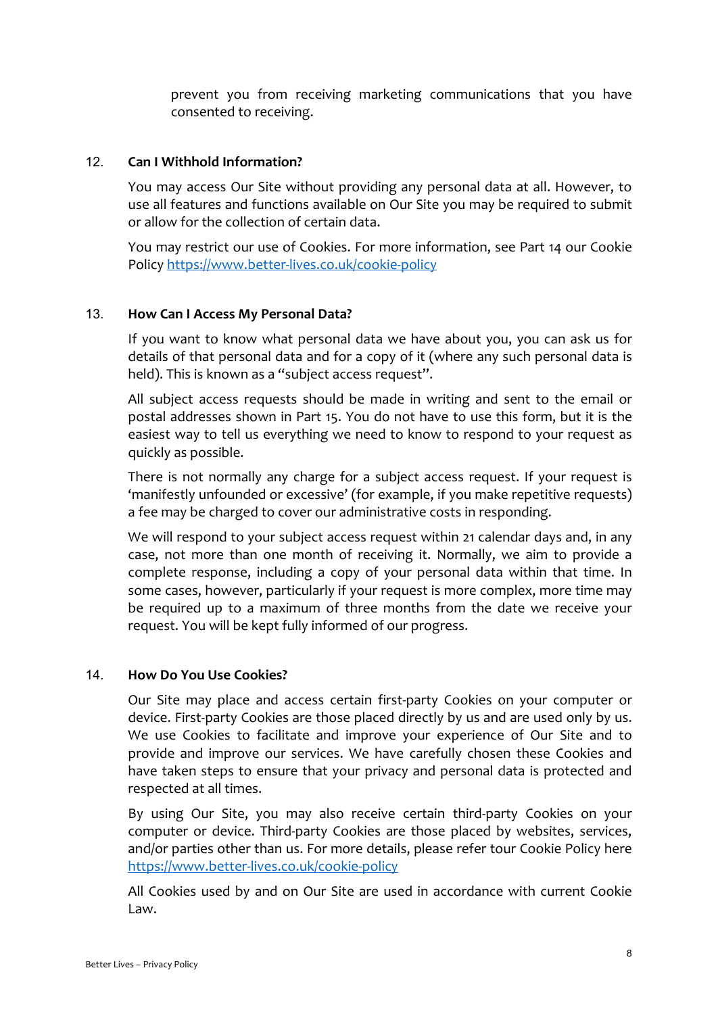prevent you from receiving marketing communications that you have consented to receiving.

### 12. **Can I Withhold Information?**

You may access Our Site without providing any personal data at all. However, to use all features and functions available on Our Site you may be required to submit or allow for the collection of certain data.

You may restrict our use of Cookies. For more information, see Part 14 our Cookie Polic[y https://www.better-lives.co.uk/cookie-policy](https://www.better-lives.co.uk/cookie-policy)

## 13. **How Can I Access My Personal Data?**

If you want to know what personal data we have about you, you can ask us for details of that personal data and for a copy of it (where any such personal data is held). This is known as a "subject access request".

All subject access requests should be made in writing and sent to the email or postal addresses shown in Part 15. You do not have to use this form, but it is the easiest way to tell us everything we need to know to respond to your request as quickly as possible.

There is not normally any charge for a subject access request. If your request is 'manifestly unfounded or excessive' (for example, if you make repetitive requests) a fee may be charged to cover our administrative costs in responding.

We will respond to your subject access request within 21 calendar days and, in any case, not more than one month of receiving it. Normally, we aim to provide a complete response, including a copy of your personal data within that time. In some cases, however, particularly if your request is more complex, more time may be required up to a maximum of three months from the date we receive your request. You will be kept fully informed of our progress.

### 14. **How Do You Use Cookies?**

Our Site may place and access certain first-party Cookies on your computer or device. First-party Cookies are those placed directly by us and are used only by us. We use Cookies to facilitate and improve your experience of Our Site and to provide and improve our services. We have carefully chosen these Cookies and have taken steps to ensure that your privacy and personal data is protected and respected at all times.

By using Our Site, you may also receive certain third-party Cookies on your computer or device. Third-party Cookies are those placed by websites, services, and/or parties other than us. For more details, please refer tour Cookie Policy here <https://www.better-lives.co.uk/cookie-policy>

All Cookies used by and on Our Site are used in accordance with current Cookie Law.